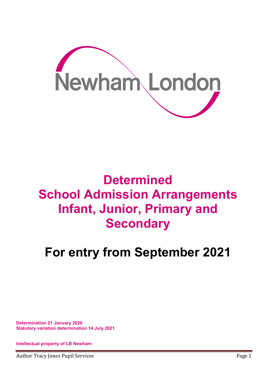

# **Determined** School Admission Arrangements Infant, Junior, Primary and **Secondary**

# For entry from September 2021

Determination 21 January 2020 Statutory variation determination 14 July 2021

Intellectual property of LB Newham

Author Tracy Jones Pupil Services **Page 1** and the service page 1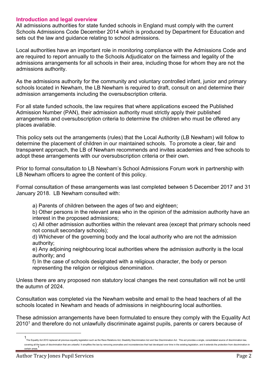### Introduction and legal overview

All admissions authorities for state funded schools in England must comply with the current Schools Admissions Code December 2014 which is produced by Department for Education and sets out the law and guidance relating to school admissions.

Local authorities have an important role in monitoring compliance with the Admissions Code and are required to report annually to the Schools Adjudicator on the fairness and legality of the admissions arrangements for all schools in their area, including those for whom they are not the admissions authority.

As the admissions authority for the community and voluntary controlled infant, junior and primary schools located in Newham, the LB Newham is required to draft, consult on and determine their admission arrangements including the oversubscription criteria.

For all state funded schools, the law requires that where applications exceed the Published Admission Number (PAN), their admission authority must strictly apply their published arrangements and oversubscription criteria to determine the children who must be offered any places available.

This policy sets out the arrangements (rules) that the Local Authority (LB Newham) will follow to determine the placement of children in our maintained schools. To promote a clear, fair and transparent approach, the LB of Newham recommends and invites academies and free schools to adopt these arrangements with our oversubscription criteria or their own.

Prior to formal consultation to LB Newham's School Admissions Forum work in partnership with LB Newham officers to agree the content of this policy.

Formal consultation of these arrangements was last completed between 5 December 2017 and 31 January 2018. LB Newham consulted with:

a) Parents of children between the ages of two and eighteen;

b) Other persons in the relevant area who in the opinion of the admission authority have an interest in the proposed admissions;

c) All other admission authorities within the relevant area (except that primary schools need not consult secondary schools);

d) Whichever of the governing body and the local authority who are not the admission authority;

e) Any adjoining neighbouring local authorities where the admission authority is the local authority; and

f) In the case of schools designated with a religious character, the body or person representing the religion or religious denomination.

Unless there are any proposed non statutory local changes the next consultation will not be until the autumn of 2024.

Consultation was completed via the Newham website and email to the head teachers of all the schools located in Newham and heads of admissions in neighbouring local authorities.

These admission arrangements have been formulated to ensure they comply with the Equality Act  $2010<sup>1</sup>$  and therefore do not unlawfully discriminate against pupils, parents or carers because of

 $\overline{a}$ 

<sup>1&</sup>lt;br>The Equality Act 2010 replaced all previous equality legislation such as the Race Relations Act, Disability Discrimination Act and Sex Discrimination Act. This act provides a single, consolidated source of discrimination covering all the types of discrimination that are unlawful. It simplifies the law by removing anomalies and inconsistencies that had developed over time in the existing legislation, and it extends the protection from discr certain areas.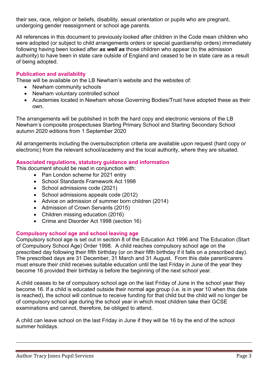their sex, race, religion or beliefs, disability, sexual orientation or pupils who are pregnant, undergoing gender reassignment or school age parents.

All references in this document to previously looked after children in the Code mean children who were adopted (or subject to child arrangements orders or special guardianship orders) immediately following having been looked after as well as those children who appear (to the admission authority) to have been in state care outside of England and ceased to be in state care as a result of being adopted.

# Publication and availability

These will be available on the LB Newham's website and the websites of:

- Newham community schools
- Newham voluntary controlled school
- Academies located in Newham whose Governing Bodies/Trust have adopted these as their own.

The arrangements will be published in both the hard copy and electronic versions of the LB Newham's composite prospectuses Starting Primary School and Starting Secondary School autumn 2020 editions from 1 September 2020

All arrangements including the oversubscription criteria are available upon request (hard copy or electronic) from the relevant school/academy and the local authority, where they are situated.

# Associated regulations, statutory guidance and information

This document should be read in conjunction with:

- Pan London scheme for 2021 entry
- School Standards Framework Act 1998
- School admissions code (2021)
- School admissions appeals code (2012)
- Advice on admission of summer born children (2014)
- Admission of Crown Servants (2015)
- Children missing education (2016)
- Crime and Disorder Act 1998 (section 16)

# Compulsory school age and school leaving age

Compulsory school age is set out in section 8 of the Education Act 1996 and The Education (Start of Compulsory School Age) Order 1998. A child reaches compulsory school age on the prescribed day following their fifth birthday (or on their fifth birthday if it falls on a prescribed day). The prescribed days are 31 December, 31 March and 31 August. From this date parent/carers must ensure their child receives suitable education until the last Friday in June of the year they become 16 provided their birthday is before the beginning of the next school year.

A child ceases to be of compulsory school age on the last Friday of June in the school year they become 16. If a child is educated outside their normal age group (i.e. is in year 10 when this date is reached), the school will continue to receive funding for that child but the child will no longer be of compulsory school age during the school year in which most children take their GCSE examinations and cannot, therefore, be obliged to attend.

A child can leave school on the last Friday in June if they will be 16 by the end of the school summer holidays.

<u>.</u>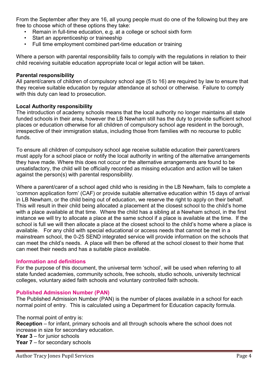From the September after they are 16, all young people must do one of the following but they are free to choose which of these options they take:

- Remain in full-time education, e.g. at a college or school sixth form
- Start an apprenticeship or traineeship
- Full time employment combined part-time education or training

Where a person with parental responsibility fails to comply with the regulations in relation to their child receiving suitable education appropriate local or legal action will be taken.

# Parental responsibility

All parent/carers of children of compulsory school age (5 to 16) are required by law to ensure that they receive suitable education by regular attendance at school or otherwise. Failure to comply with this duty can lead to prosecution.

# Local Authority responsibility

The introduction of academy schools means that the local authority no longer maintains all state funded schools in their area, however the LB Newham still has the duty to provide sufficient school places or education otherwise for all children of compulsory school age resident in the borough, irrespective of their immigration status, including those from families with no recourse to public funds.

To ensure all children of compulsory school age receive suitable education their parent/carers must apply for a school place or notify the local authority in writing of the alternative arrangements they have made. Where this does not occur or the alternative arrangements are found to be unsatisfactory, the child will be officially recorded as missing education and action will be taken against the person(s) with parental responsibility.

Where a parent/carer of a school aged child who is residing in the LB Newham, fails to complete a 'common application form' (CAF) or provide suitable alternative education within 15 days of arrival in LB Newham, or the child being out of education, we reserve the right to apply on their behalf. This will result in their child being allocated a placement at the closest school to the child's home with a place available at that time. Where the child has a sibling at a Newham school, in the first instance we will try to allocate a place at the same school if a place is available at the time. If the school is full we will then allocate a place at the closest school to the child's home where a place is available. For any child with special educational or access needs that cannot be met in a mainstream school, the 0-25 SEND integrated service will provide information on the schools that can meet the child's needs. A place will then be offered at the school closest to their home that can meet their needs and has a suitable place available.

## Information and definitions

For the purpose of this document, the universal term 'school', will be used when referring to all state funded academies, community schools, free schools, studio schools, university technical colleges, voluntary aided faith schools and voluntary controlled faith schools.

## Published Admission Number (PAN)

The Published Admission Number (PAN) is the number of places available in a school for each normal point of entry. This is calculated using a Department for Education capacity formula.

The normal point of entry is:

Reception – for infant, primary schools and all through schools where the school does not increase in size for secondary education.

**Year 3** – for junior schools

Year 7 – for secondary schools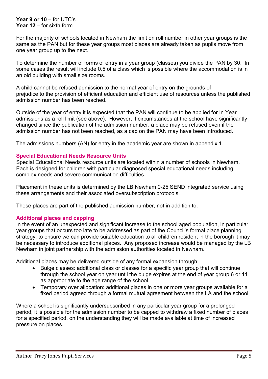#### Year 9 or 10 – for UTC's Year 12 – for sixth form

For the majority of schools located in Newham the limit on roll number in other year groups is the same as the PAN but for these year groups most places are already taken as pupils move from one year group up to the next.

To determine the number of forms of entry in a year group (classes) you divide the PAN by 30. In some cases the result will include 0.5 of a class which is possible where the accommodation is in an old building with small size rooms.

A child cannot be refused admission to the normal year of entry on the grounds of prejudice to the provision of efficient education and efficient use of resources unless the published admission number has been reached.

Outside of the year of entry it is expected that the PAN will continue to be applied for In Year admissions as a roll limit (see above). However, if circumstances at the school have significantly changed since the publication of the admission number, a place may be refused even if the admission number has not been reached, as a cap on the PAN may have been introduced.

The admissions numbers (AN) for entry in the academic year are shown in appendix 1.

## Special Educational Needs Resource Units

Special Educational Needs resource units are located within a number of schools in Newham. Each is designed for children with particular diagnosed special educational needs including complex needs and severe communication difficulties.

Placement in these units is determined by the LB Newham 0-25 SEND integrated service using these arrangements and their associated oversubscription protocols.

These places are part of the published admission number, not in addition to.

## Additional places and capping

In the event of an unexpected and significant increase to the school aged population, in particular year groups that occurs too late to be addressed as part of the Council's formal place planning strategy, to ensure we can provide suitable education to all children resident in the borough it may be necessary to introduce additional places. Any proposed increase would be managed by the LB Newham in joint partnership with the admission authorities located in Newham.

Additional places may be delivered outside of any formal expansion through:

- Bulge classes: additional class or classes for a specific year group that will continue through the school year on year until the bulge expires at the end of year group 6 or 11 as appropriate to the age range of the school.
- Temporary over allocation: additional places in one or more year groups available for a fixed period agreed through a formal mutual agreement between the LA and the school.

Where a school is significantly undersubscribed in any particular year group for a prolonged period, it is possible for the admission number to be capped to withdraw a fixed number of places for a specified period, on the understanding they will be made available at time of increased pressure on places.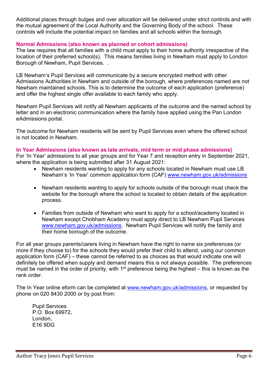Additional places through bulges and over allocation will be delivered under strict controls and with the mutual agreement of the Local Authority and the Governing Body of the school. These controls will include the potential impact on families and all schools within the borough.

# Normal Admissions (also known as planned or cohort admissions)

The law requires that all families with a child must apply to their home authority irrespective of the location of their preferred school(s). This means families living in Newham must apply to London Borough of Newham, Pupil Services. .

LB Newham's Pupil Services will communicate by a secure encrypted method with other Admissions Authorities in Newham and outside of the borough, where preferences named are not Newham maintained schools. This is to determine the outcome of each application (preference) and offer the highest single offer available to each family who apply.

Newham Pupil Services will notify all Newham applicants of the outcome and the named school by letter and in an electronic communication where the family have applied using the Pan London eAdmissions portal.

The outcome for Newham residents will be sent by Pupil Services even where the offered school is not located in Newham.

## In Year Admissions (also known as late arrivals, mid term or mid phase admissions)

For 'In Year' admissions to all year groups and for Year 7 and reception entry in September 2021, where the application is being submitted after 31 August 2021:

- Newham residents wanting to apply for any schools located in Newham must use LB Newham's 'In Year' common application form (CAF) www.newham.gov.uk/admissions
- Newham residents wanting to apply for schools outside of the borough must check the website for the borough where the school is located to obtain details of the application process.
- Families from outside of Newham who want to apply for a school/academy located in Newham except Chobham Academy must apply direct to LB Newham Pupil Services www.newham.gov.uk/admissions. Newham Pupil Services will notify the family and their home borough of the outcome.

For all year groups parents/carers living in Newham have the right to name six preferences (or more if they choose to) for the schools they would prefer their child to attend, using our common application form (CAF) – these cannot be referred to as choices as that would indicate one will definitely be offered when supply and demand means this is not always possible. The preferences must be named in the order of priority, with 1<sup>st</sup> preference being the highest – this is known as the rank order.

The In Year online eform can be completed at www.newham.gov.uk/admissions, or requested by phone on 020 8430 2000 or by post from:

Pupil Services P.O. Box 69972, London, E16 9DG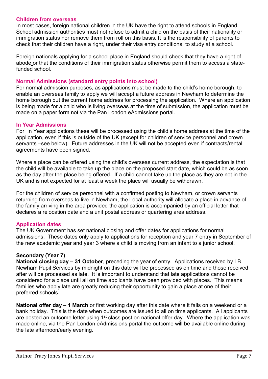#### Children from overseas

In most cases, foreign national children in the UK have the right to attend schools in England. School admission authorities must not refuse to admit a child on the basis of their nationality or immigration status nor remove them from roll on this basis. It is the responsibility of parents to check that their children have a right, under their visa entry conditions, to study at a school.

Foreign nationals applying for a school place in England should check that they have a right of abode or that the conditions of their immigration status otherwise permit them to access a statefunded school.

#### Normal Admissions (standard entry points into school)

For normal admission purposes, as applications must be made to the child's home borough, to enable an overseas family to apply we will accept a future address in Newham to determine the home borough but the current home address for processing the application. Where an application is being made for a child who is living overseas at the time of submission, the application must be made on a paper form not via the Pan London eAdmissions portal.

#### In Year Admissions

For In Year applications these will be processed using the child's home address at the time of the application, even if this is outside of the UK (except for children of service personnel and crown servants –see below). Future addresses in the UK will not be accepted even if contracts/rental agreements have been signed.

Where a place can be offered using the child's overseas current address, the expectation is that the child will be available to take up the place on the proposed start date, which could be as soon as the day after the place being offered. If a child cannot take up the place as they are not in the UK and is not expected for at least a week the place will usually be withdrawn.

For the children of service personnel with a confirmed posting to Newham, or crown servants returning from overseas to live in Newham, the Local authority will allocate a place in advance of the family arriving in the area provided the application is accompanied by an official letter that declares a relocation date and a unit postal address or quartering area address.

## Application dates

The UK Government has set national closing and offer dates for applications for normal admissions. These dates only apply to applications for reception and year 7 entry in September of the new academic year and year 3 where a child is moving from an infant to a junior school.

## Secondary (Year 7)

National closing day – 31 October, preceding the year of entry. Applications received by LB Newham Pupil Services by midnight on this date will be processed as on time and those received after will be processed as late. It is important to understand that late applications cannot be considered for a place until all on time applicants have been provided with places. This means families who apply late are greatly reducing their opportunity to gain a place at one of their preferred schools.

National offer day – 1 March or first working day after this date where it falls on a weekend or a bank holiday. This is the date when outcomes are issued to all on time applicants. All applicants are posted an outcome letter using 1<sup>st</sup> class post on national offer day. Where the application was made online, via the Pan London eAdmissions portal the outcome will be available online during the late afternoon/early evening.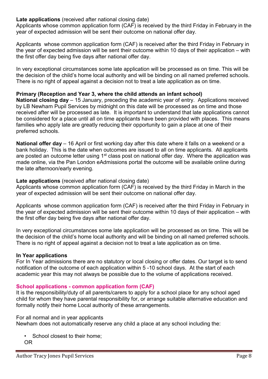# Late applications (received after national closing date)

Applicants whose common application form (CAF) is received by the third Friday in February in the year of expected admission will be sent their outcome on national offer day.

Applicants whose common application form (CAF) is received after the third Friday in February in the year of expected admission will be sent their outcome within 10 days of their application – with the first offer day being five days after national offer day.

In very exceptional circumstances some late application will be processed as on time. This will be the decision of the child's home local authority and will be binding on all named preferred schools. There is no right of appeal against a decision not to treat a late application as on time.

# Primary (Reception and Year 3, where the child attends an infant school)

National closing day – 15 January, preceding the academic year of entry. Applications received by LB Newham Pupil Services by midnight on this date will be processed as on time and those received after will be processed as late. It is important to understand that late applications cannot be considered for a place until all on time applicants have been provided with places. This means families who apply late are greatly reducing their opportunity to gain a place at one of their preferred schools.

National offer day – 16 April or first working day after this date where it falls on a weekend or a bank holiday. This is the date when outcomes are issued to all on time applicants. All applicants are posted an outcome letter using 1<sup>st</sup> class post on national offer day. Where the application was made online, via the Pan London eAdmissions portal the outcome will be available online during the late afternoon/early evening.

# Late applications (received after national closing date)

Applicants whose common application form (CAF) is received by the third Friday in March in the year of expected admission will be sent their outcome on national offer day.

Applicants whose common application form (CAF) is received after the third Friday in February in the year of expected admission will be sent their outcome within 10 days of their application – with the first offer day being five days after national offer day.

In very exceptional circumstances some late application will be processed as on time. This will be the decision of the child's home local authority and will be binding on all named preferred schools. There is no right of appeal against a decision not to treat a late application as on time.

## In Year applications

For In Year admissions there are no statutory or local closing or offer dates. Our target is to send notification of the outcome of each application within 5 -10 school days. At the start of each academic year this may not always be possible due to the volume of applications received.

# School applications - common application form (CAF)

It is the responsibility/duty of all parents/carers to apply for a school place for any school aged child for whom they have parental responsibility for, or arrange suitable alternative education and formally notify their home Local authority of these arrangements.

# For all normal and in year applicants

Newham does not automatically reserve any child a place at any school including the:

• School closest to their home; OR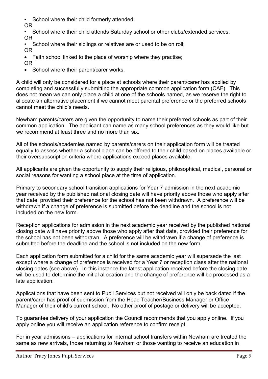• School where their child formerly attended;

OR

• School where their child attends Saturday school or other clubs/extended services; OR

School where their siblings or relatives are or used to be on roll; OR

- Faith school linked to the place of worship where they practise: OR
- School where their parent/carer works.

A child will only be considered for a place at schools where their parent/carer has applied by completing and successfully submitting the appropriate common application form (CAF). This does not mean we can only place a child at one of the schools named, as we reserve the right to allocate an alternative placement if we cannot meet parental preference or the preferred schools cannot meet the child's needs.

Newham parents/carers are given the opportunity to name their preferred schools as part of their common application. The applicant can name as many school preferences as they would like but we recommend at least three and no more than six.

All of the schools/academies named by parents/carers on their application form will be treated equally to assess whether a school place can be offered to their child based on places available or their oversubscription criteria where applications exceed places available.

All applicants are given the opportunity to supply their religious, philosophical, medical, personal or social reasons for wanting a school place at the time of application.

Primary to secondary school transition applications for Year 7 admission in the next academic year received by the published national closing date will have priority above those who apply after that date, provided their preference for the school has not been withdrawn. A preference will be withdrawn if a change of preference is submitted before the deadline and the school is not included on the new form.

Reception applications for admission in the next academic year received by the published national closing date will have priority above those who apply after that date, provided their preference for the school has not been withdrawn. A preference will be withdrawn if a change of preference is submitted before the deadline and the school is not included on the new form.

Each application form submitted for a child for the same academic year will supersede the last except where a change of preference is received for a Year 7 or reception class after the national closing dates (see above). In this instance the latest application received before the closing date will be used to determine the initial allocation and the change of preference will be processed as a late application.

Applications that have been sent to Pupil Services but not received will only be back dated if the parent/carer has proof of submission from the Head Teacher/Business Manager or Office Manager of their child's current school. No other proof of postage or delivery will be accepted.

To guarantee delivery of your application the Council recommends that you apply online. If you apply online you will receive an application reference to confirm receipt.

For in year admissions – applications for internal school transfers within Newham are treated the same as new arrivals, those returning to Newham or those wanting to receive an education in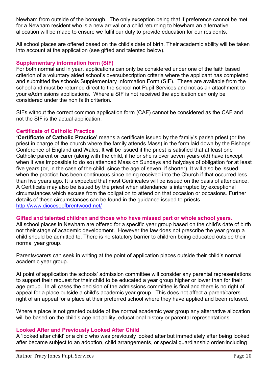Newham from outside of the borough. The only exception being that if preference cannot be met for a Newham resident who is a new arrival or a child returning to Newham an alternative allocation will be made to ensure we fulfil our duty to provide education for our residents.

All school places are offered based on the child's date of birth. Their academic ability will be taken into account at the application (see gifted and talented below).

# Supplementary information form (SIF)

For both normal and in year, applications can only be considered under one of the faith based criterion of a voluntary aided school's oversubscription criteria where the applicant has completed and submitted the schools Supplementary Information Form (SIF). These are available from the school and must be returned direct to the school not Pupil Services and not as an attachment to your eAdmissions applications. Where a SIF is not received the application can only be considered under the non faith criterion.

SIFs without the correct common application form (CAF) cannot be considered as the CAF and not the SIF is the actual application.

# Certificate of Catholic Practice

'Certificate of Catholic Practice' means a certificate issued by the family's parish priest (or the priest in charge of the church where the family attends Mass) in the form laid down by the Bishops' Conference of England and Wales. It will be issued if the priest is satisfied that at least one Catholic parent or carer (along with the child, if he or she is over seven years old) have (except when it was impossible to do so) attended Mass on Sundays and holydays of obligation for at least five years (or, in the case of the child, since the age of seven, if shorter). It will also be issued when the practice has been continuous since being received into the Church if that occurred less than five years ago. It is expected that most Certificates will be issued on the basis of attendance. A Certificate may also be issued by the priest when attendance is interrupted by exceptional circumstances which excuse from the obligation to attend on that occasion or occasions. Further details of these circumstances can be found in the guidance issued to priests http://www.dioceseofbrentwood.net/

## Gifted and talented children and those who have missed part or whole school years.

All school places in Newham are offered for a specific year group based on the child's date of birth not their stage of academic development. However the law does not prescribe the year group a child should be admitted to. There is no statutory barrier to children being educated outside their normal year group.

Parents/carers can seek in writing at the point of application places outside their child's normal academic year group.

At point of application the schools' admission committee will consider any parental representations to support their request for their child to be educated a year group higher or lower than for their age group. In all cases the decision of the admissions committee is final and there is no right of appeal for a place outside a child's academic year group. This does not affect a parent/carers right of an appeal for a place at their preferred school where they have applied and been refused.

Where a place is not granted outside of the normal academic year group any alternative allocation will be based on the child's age not ability, educational history or parental representations

## Looked After and Previously Looked After Child

A 'looked after child' or a child who was previously looked after but immediately after being looked after became subject to an adoption, child arrangements, or special quardianship order including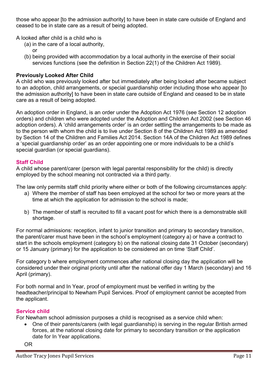those who appear [to the admission authority] to have been in state care outside of England and ceased to be in state care as a result of being adopted.

A looked after child is a child who is

- (a) in the care of a local authority, or
- (b) being provided with accommodation by a local authority in the exercise of their social services functions (see the definition in Section 22(1) of the Children Act 1989).

# Previously Looked After Child

A child who was previously looked after but immediately after being looked after became subject to an adoption, child arrangements, or special guardianship order including those who appear [to the admission authority] to have been in state care outside of England and ceased to be in state care as a result of being adopted.

An adoption order in England, is an order under the Adoption Act 1976 (see Section 12 adoption orders) and children who were adopted under the Adoption and Children Act 2002 (see Section 46 adoption orders). A 'child arrangements order' is an order settling the arrangements to be made as to the person with whom the child is to live under Section 8 of the Children Act 1989 as amended by Section 14 of the Children and Families Act 2014. Section 14A of the Children Act 1989 defines a 'special guardianship order' as an order appointing one or more individuals to be a child's special guardian (or special guardians).

# Staff Child

A child whose parent/carer (person with legal parental responsibility for the child) is directly employed by the school meaning not contracted via a third party.

The law only permits staff child priority where either or both of the following circumstances apply:

- a) Where the member of staff has been employed at the school for two or more years at the time at which the application for admission to the school is made;
- b) The member of staff is recruited to fill a vacant post for which there is a demonstrable skill shortage.

For normal admissions: reception, infant to junior transition and primary to secondary transition, the parent/carer must have been in the school's employment (category a) or have a contract to start in the schools employment (category b) on the national closing date 31 October (secondary) or 15 January (primary) for the application to be considered an on time 'Staff Child'.

For category b where employment commences after national closing day the application will be considered under their original priority until after the national offer day 1 March (secondary) and 16 April (primary).

For both normal and In Year, proof of employment must be verified in writing by the headteacher/principal to Newham Pupil Services. Proof of employment cannot be accepted from the applicant.

## Service child

For Newham school admission purposes a child is recognised as a service child when:

 One of their parents/carers (with legal guardianship) is serving in the regular British armed forces, at the national closing date for primary to secondary transition or the application date for In Year applications.

OR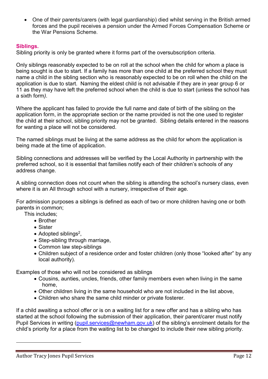One of their parents/carers (with legal guardianship) died whilst serving in the British armed forces and the pupil receives a pension under the Armed Forces Compensation Scheme or the War Pensions Scheme.

# Siblings.

Sibling priority is only be granted where it forms part of the oversubscription criteria.

Only siblings reasonably expected to be on roll at the school when the child for whom a place is being sought is due to start. If a family has more than one child at the preferred school they must name a child in the sibling section who is reasonably expected to be on roll when the child on the application is due to start. Naming the eldest child is not advisable if they are in year group 6 or 11 as they may have left the preferred school when the child is due to start (unless the school has a sixth form).

Where the applicant has failed to provide the full name and date of birth of the sibling on the application form, in the appropriate section or the name provided is not the one used to register the child at their school, sibling priority may not be granted. Sibling details entered in the reasons for wanting a place will not be considered.

The named siblings must be living at the same address as the child for whom the application is being made at the time of application.

Sibling connections and addresses will be verified by the Local Authority in partnership with the preferred school, so it is essential that families notify each of their children's schools of any address change.

A sibling connection does not count when the sibling is attending the school's nursery class, even where it is an All through school with a nursery, irrespective of their age.

For admission purposes a siblings is defined as each of two or more children having one or both parents in common;

This includes;

- Brother
- Sister
- Adopted siblings<sup>2</sup>,
- Step-sibling through marriage,
- Common law step-siblings
- Children subject of a residence order and foster children (only those "looked after" by any local authority).

Examples of those who will not be considered as siblings

- Cousins, aunties, uncles, friends, other family members even when living in the same home,
- Other children living in the same household who are not included in the list above,
- Children who share the same child minder or private fosterer.

If a child awaiting a school offer or is on a waiting list for a new offer and has a sibling who has started at the school following the submission of their application, their parent/carer must notify Pupil Services in writing (pupil.services@newham.gov.uk) of the sibling's enrolment details for the child's priority for a place from the waiting list to be changed to include their new sibling priority.

<u>.</u>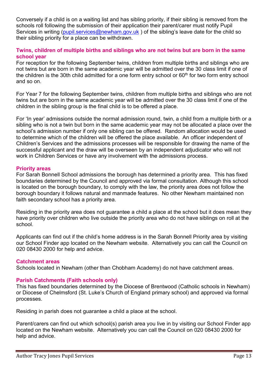Conversely if a child is on a waiting list and has sibling priority, if their sibling is removed from the schools roll following the submission of their application their parent/carer must notify Pupil Services in writing (pupil.services@newham.gov.uk) of the sibling's leave date for the child so their sibling priority for a place can be withdrawn.

# Twins, children of multiple births and siblings who are not twins but are born in the same school year

For reception for the following September twins, children from multiple births and siblings who are not twins but are born in the same academic year will be admitted over the 30 class limit if one of the children is the 30th child admitted for a one form entry school or  $60<sup>th</sup>$  for two form entry school and so on.

For Year 7 for the following September twins, children from multiple births and siblings who are not twins but are born in the same academic year will be admitted over the 30 class limit if one of the children in the sibling group is the final child is to be offered a place.

For 'In year' admissions outside the normal admission round, twin, a child from a multiple birth or a sibling who is not a twin but born in the same academic year may not be allocated a place over the school's admission number if only one sibling can be offered. Random allocation would be used to determine which of the children will be offered the place available. An officer independent of Children's Services and the admissions processes will be responsible for drawing the name of the successful applicant and the draw will be overseen by an independent adjudicator who will not work in Children Services or have any involvement with the admissions process.

#### Priority areas

For Sarah Bonnell School admissions the borough has determined a priority area. This has fixed boundaries determined by the Council and approved via formal consultation. Although this school is located on the borough boundary, to comply with the law, the priority area does not follow the borough boundary it follows natural and manmade features. No other Newham maintained non faith secondary school has a priority area.

Residing in the priority area does not guarantee a child a place at the school but it does mean they have priority over children who live outside the priority area who do not have siblings on roll at the school.

Applicants can find out if the child's home address is in the Sarah Bonnell Priority area by visiting our School Finder app located on the Newham website. Alternatively you can call the Council on 020 08430 2000 for help and advice.

## Catchment areas

Schools located in Newham (other than Chobham Academy) do not have catchment areas.

## Parish Catchments (Faith schools only)

This has fixed boundaries determined by the Diocese of Brentwood (Catholic schools in Newham) or Diocese of Chelmsford (St. Luke's Church of England primary school) and approved via formal processes.

Residing in parish does not guarantee a child a place at the school.

Parent/carers can find out which school(s) parish area you live in by visiting our School Finder app located on the Newham website. Alternatively you can call the Council on 020 08430 2000 for help and advice.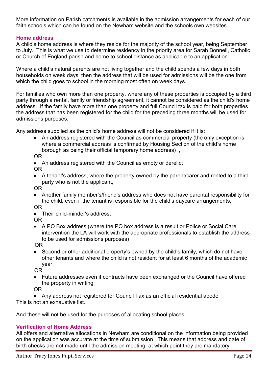More information on Parish catchments is available in the admission arrangements for each of our faith schools which can be found on the Newham website and the schools own websites.

# Home address

A child's home address is where they reside for the majority of the school year, being September to July. This is what we use to determine residency in the priority area for Sarah Bonnell, Catholic or Church of England parish and home to school distance as applicable to an application.

Where a child's natural parents are not living together and the child spends a few days in both households on week days, then the address that will be used for admissions will be the one from which the child goes to school in the morning most often on week days.

For families who own more than one property, where any of these properties is occupied by a third party through a rental, family or friendship agreement, it cannot be considered as the child's home address. If the family have more than one property and full Council tax is paid for both properties the address that has been registered for the child for the preceding three months will be used for admissions purposes.

Any address supplied as the child's home address will not be considered if it is:

• An address registered with the Council as commercial property (the only exception is where a commercial address is confirmed by Housing Section of the child's home borough as being their official temporary home address) ,

OR

- An address registered with the Council as empty or derelict OR
- A tenant's address, where the property owned by the parent/carer and rented to a third party who is not the applicant,

OR

- Another family member's/friend's address who does not have parental responsibility for the child, even if the tenant is responsible for the child's daycare arrangements, OR
- Their child-minder's address,

OR

 A PO Box address (where the PO box address is a result or Police or Social Care intervention the LA will work with the appropriate professionals to establish the address to be used for admissions purposes)

OR

 Second or other additional property's owned by the child's family, which do not have other tenants and where the child is not resident for at least 6 months of the academic year.

OR

 Future addresses even if contracts have been exchanged or the Council have offered the property in writing

OR

 Any address not registered for Council Tax as an official residential abode This is not an exhaustive list.

And these will not be used for the purposes of allocating school places.

# Verification of Home Address

All offers and alternative allocations in Newham are conditional on the information being provided on the application was accurate at the time of submission. This means that address and date of birth checks are not made until the admission meeting, at which point they are mandatory.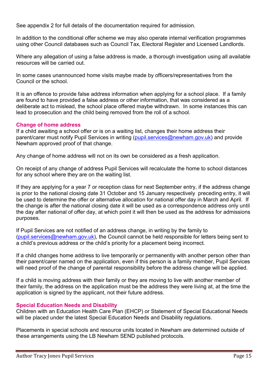See appendix 2 for full details of the documentation required for admission.

In addition to the conditional offer scheme we may also operate internal verification programmes using other Council databases such as Council Tax, Electoral Register and Licensed Landlords.

Where any allegation of using a false address is made, a thorough investigation using all available resources will be carried out.

In some cases unannounced home visits maybe made by officers/representatives from the Council or the school.

It is an offence to provide false address information when applying for a school place. If a family are found to have provided a false address or other information, that was considered as a deliberate act to mislead, the school place offered maybe withdrawn. In some instances this can lead to prosecution and the child being removed from the roll of a school.

# Change of home address

If a child awaiting a school offer or is on a waiting list, changes their home address their parent/carer must notify Pupil Services in writing (pupil.services@newham.gov.uk) and provide Newham approved proof of that change.

Any change of home address will not on its own be considered as a fresh application.

On receipt of any change of address Pupil Services will recalculate the home to school distances for any school where they are on the waiting list.

If they are applying for a year 7 or reception class for next September entry, if the address change is prior to the national closing date 31 October and 15 January respectively preceding entry, it will be used to determine the offer or alternative allocation for national offer day in March and April. If the change is after the national closing date it will be used as a correspondence address only until the day after national of offer day, at which point it will then be used as the address for admissions purposes.

If Pupil Services are not notified of an address change, in writing by the family to (pupil.services@newham.gov.uk), the Council cannot be held responsible for letters being sent to a child's previous address or the child's priority for a placement being incorrect.

If a child changes home address to live temporarily or permanently with another person other than their parent/carer named on the application, even if this person is a family member, Pupil Services will need proof of the change of parental responsibility before the address change will be applied.

If a child is moving address with their family or they are moving to live with another member of their family, the address on the application must be the address they were living at, at the time the application is signed by the applicant, not their future address.

# Special Education Needs and Disability

Children with an Education Health Care Plan (EHCP) or Statement of Special Educational Needs will be placed under the latest Special Education Needs and Disability regulations.

Placements in special schools and resource units located in Newham are determined outside of these arrangements using the LB Newham SEND published protocols.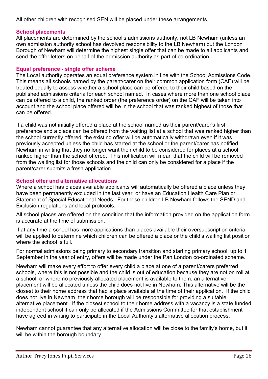All other children with recognised SEN will be placed under these arrangements.

# School placements

All placements are determined by the school's admissions authority, not LB Newham (unless an own admission authority school has devolved responsibility to the LB Newham) but the London Borough of Newham will determine the highest single offer that can be made to all applicants and send the offer letters on behalf of the admission authority as part of co-ordination.

# Equal preference - single offer scheme

The Local authority operates an equal preference system in line with the School Admissions Code. This means all schools named by the parent/carer on their common application form (CAF) will be treated equally to assess whether a school place can be offered to their child based on the published admissions criteria for each school named. In cases where more than one school place can be offered to a child, the ranked order (the preference order) on the CAF will be taken into account and the school place offered will be in the school that was ranked highest of those that can be offered.

If a child was not initially offered a place at the school named as their parent/carer's first preference and a place can be offered from the waiting list at a school that was ranked higher than the school currently offered, the existing offer will be automatically withdrawn even if it was previously accepted unless the child has started at the school or the parent/carer has notified Newham in writing that they no longer want their child to be considered for places at a school ranked higher than the school offered. This notification will mean that the child will be removed from the waiting list for those schools and the child can only be considered for a place if the parent/carer submits a fresh application.

# School offer and alternative allocations

Where a school has places available applicants will automatically be offered a place unless they have been permanently excluded in the last year, or have an Education Health Care Plan or Statement of Special Educational Needs. For these children LB Newham follows the SEND and Exclusion regulations and local protocols.

All school places are offered on the condition that the information provided on the application form is accurate at the time of submission.

If at any time a school has more applications than places available their oversubscription criteria will be applied to determine which children can be offered a place or the child's waiting list position where the school is full.

For normal admissions being primary to secondary transition and starting primary school, up to 1 September in the year of entry, offers will be made under the Pan London co-ordinated scheme.

Newham will make every effort to offer every child a place at one of a parent/carers preferred schools, where this is not possible and the child is out of education because they are not on roll at a school, or where no previously allocated placement is available to them, an alternative placement will be allocated unless the child does not live in Newham. This alternative will be the closest to their home address that had a place available at the time of their application. If the child does not live in Newham, their home borough will be responsible for providing a suitable alternative placement. If the closest school to their home address with a vacancy is a state funded independent school it can only be allocated if the Admissions Committee for that establishment have agreed in writing to participate in the Local Authority's alternative allocation process.

Newham cannot guarantee that any alternative allocation will be close to the family's home, but it will be within the borough boundary.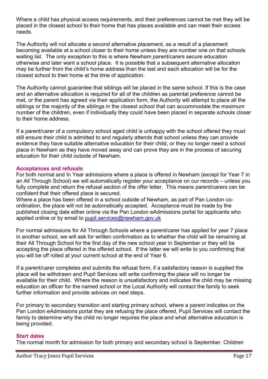Where a child has physical access requirements, and their preferences cannot be met they will be placed in the closest school to their home that has places available and can meet their access needs.

The Authority will not allocate a second alternative placement, as a result of a placement becoming available at a school closer to their home unless they are number one on that schools waiting list. The only exception to this is where Newham parent/carers secure education otherwise and later want a school place. It is possible that a subsequent alternative allocation may be further from the child's home address than the last and each allocation will be for the closest school to their home at the time of application.

The Authority cannot guarantee that siblings will be placed in the same school. If this is the case and an alternative allocation is required for all of the children as parental preference cannot be met, or the parent has agreed via their application form, the Authority will attempt to place all the siblings or the majority of the siblings in the closest school that can accommodate the maximum number of the children, even if individually they could have been placed in separate schools closer to their home address.

If a parent/carer of a compulsory school aged child is unhappy with the school offered they must still ensure their child is admitted to and regularly attends that school unless they can provide evidence they have suitable alternative education for their child, or they no longer need a school place in Newham as they have moved away and can prove they are in the process of securing education for their child outside of Newham.

#### Acceptances and refusals

For both normal and In Year admissions where a place is offered in Newham (except for Year 7 in an All Through School) we will automatically register your acceptance on our records – unless you fully complete and return the refusal section of the offer letter. This means parent/carers can be confident that their offered place is secured.

Where a place has been offered in a school outside of Newham, as part of Pan London coordination, the place will not be automatically accepted. Acceptance must be made by the published closing date either online via the Pan London eAdmissions portal for applicants who applied online or by email to pupil.services@newham.gov.uk

For normal admissions for All Through Schools where a parent/carer has applied for year 7 place in another school, we will ask for written confirmation as to whether the child will be remaining at their All Through School for the first day of the new school year in September or they will be accepting the place offered in the offered school. If the latter we will write to you confirming that you will be off rolled at your current school at the end of Year 6.

If a parent/carer completes and submits the refusal form, if a satisfactory reason is supplied the place will be withdrawn and Pupil Services will write confirming the place will no longer be available for their child. Where the reason is unsatisfactory and indicates the child may be missing education an officer for the named school or the Local Authority will contact the family to seek further information and provide advices on next steps.

For primary to secondary transition and starting primary school, where a parent indicates on the Pan London eAdmissions portal they are refusing the place offered, Pupil Services will contact the family to determine why the child no longer requires the place and what alternative education is being provided.

## Start dates

The normal month for admission for both primary and secondary school is September. Children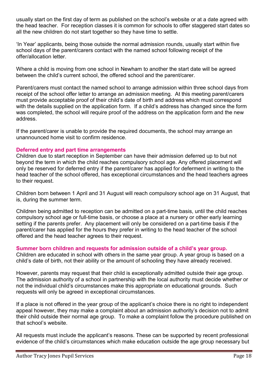usually start on the first day of term as published on the school's website or at a date agreed with the head teacher. For reception classes it is common for schools to offer staggered start dates so all the new children do not start together so they have time to settle.

'In Year' applicants, being those outside the normal admission rounds, usually start within five school days of the parent/carers contact with the named school following receipt of the offer/allocation letter.

Where a child is moving from one school in Newham to another the start date will be agreed between the child's current school, the offered school and the parent/carer.

Parent/carers must contact the named school to arrange admission within three school days from receipt of the school offer letter to arrange an admission meeting. At this meeting parent/carers must provide acceptable proof of their child's date of birth and address which must correspond with the details supplied on the application form. If a child's address has changed since the form was completed, the school will require proof of the address on the application form and the new address.

If the parent/carer is unable to provide the required documents, the school may arrange an unannounced home visit to confirm residence.

## Deferred entry and part time arrangements

Children due to start reception in September can have their admission deferred up to but not beyond the term in which the child reaches compulsory school age. Any offered placement will only be reserved for deferred entry if the parent/carer has applied for deferment in writing to the head teacher of the school offered, has exceptional circumstances and the head teachers agrees to their request.

Children born between 1 April and 31 August will reach compulsory school age on 31 August, that is, during the summer term.

Children being admitted to reception can be admitted on a part-time basis, until the child reaches compulsory school age or full-time basis, or choose a place at a nursery or other early learning setting if the parents prefer. Any placement will only be considered on a part-time basis if the parent/carer has applied for the hours they prefer in writing to the head teacher of the school offered and the head teacher agrees to their request.

## Summer born children and requests for admission outside of a child's year group.

Children are educated in school with others in the same year group. A year group is based on a child's date of birth, not their ability or the amount of schooling they have already received.

However, parents may request that their child is exceptionally admitted outside their age group. The admission authority of a school in partnership with the local authority must decide whether or not the individual child's circumstances make this appropriate on educational grounds. Such requests will only be agreed in exceptional circumstances.

If a place is not offered in the year group of the applicant's choice there is no right to independent appeal however, they may make a complaint about an admission authority's decision not to admit their child outside their normal age group. To make a complaint follow the procedure published on that school's website.

All requests must include the applicant's reasons. These can be supported by recent professional evidence of the child's circumstances which make education outside the age group necessary but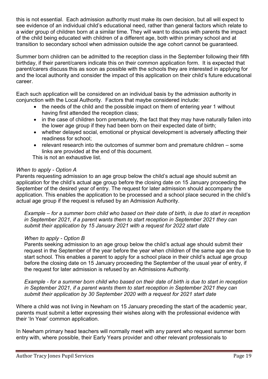this is not essential. Each admission authority must make its own decision, but all will expect to see evidence of an individual child's educational need, rather than general factors which relate to a wider group of children born at a similar time. They will want to discuss with parents the impact of the child being educated with children of a different age, both within primary school and at transition to secondary school when admission outside the age cohort cannot be guaranteed.

Summer born children can be admitted to the reception class in the September following their fifth birthday, if their parent/carers indicate this on their common application form. It is expected that parent/carers discuss this as soon as possible with the schools they are interested in applying for and the local authority and consider the impact of this application on their child's future educational career.

Each such application will be considered on an individual basis by the admission authority in conjunction with the Local Authority. Factors that maybe considered include:

- the needs of the child and the possible impact on them of entering year 1 without having first attended the reception class;
- in the case of children born prematurely, the fact that they may have naturally fallen into the lower age group if they had been born on their expected date of birth;
- whether delayed social, emotional or physical development is adversely affecting their readiness for school;
- $\bullet$  relevant research into the outcomes of summer born and premature children some links are provided at the end of this document.

This is not an exhaustive list.

# When to apply - Option A

Parents requesting admission to an age group below the child's actual age should submit an application for the child's actual age group before the closing date on 15 January proceeding the September of the desired year of entry. The request for later admission should accompany the application. This enables the application to be processed and a school place secured in the child's actual age group if the request is refused by an Admission Authority.

Example – for a summer born child who based on their date of birth, is due to start in reception in September 2021, if a parent wants them to start reception in September 2021 they can submit their application by 15 January 2021 with a request for 2022 start date

# When to apply - Option B

Parents seeking admission to an age group below the child's actual age should submit their request in the September of the year before the year when children of the same age are due to start school. This enables a parent to apply for a school place in their child's actual age group before the closing date on 15 January proceeding the September of the usual year of entry, if the request for later admission is refused by an Admissions Authority.

Example - for a summer born child who based on their date of birth is due to start in reception in September 2021, if a parent wants them to start reception in September 2021 they can submit their application by 30 September 2020 with a request for 2021 start date

Where a child was not living in Newham on 15 January preceding the start of the academic year, parents must submit a letter expressing their wishes along with the professional evidence with their 'In Year' common application.

In Newham primary head teachers will normally meet with any parent who request summer born entry with, where possible, their Early Years provider and other relevant professionals to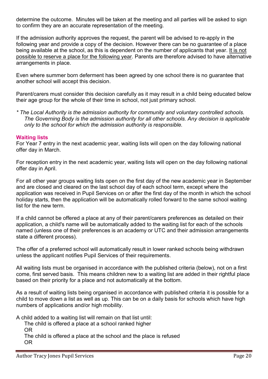determine the outcome. Minutes will be taken at the meeting and all parties will be asked to sign to confirm they are an accurate representation of the meeting.

If the admission authority approves the request, the parent will be advised to re-apply in the following year and provide a copy of the decision. However there can be no guarantee of a place being available at the school, as this is dependent on the number of applicants that year. It is not possible to reserve a place for the following year. Parents are therefore advised to have alternative arrangements in place.

Even where summer born deferment has been agreed by one school there is no guarantee that another school will accept this decision.

Parent/carers must consider this decision carefully as it may result in a child being educated below their age group for the whole of their time in school, not just primary school.

\* The Local Authority is the admission authority for community and voluntary controlled schools. The Governing Body is the admission authority for all other schools. Any decision is applicable only to the school for which the admission authority is responsible.

# Waiting lists

For Year 7 entry in the next academic year, waiting lists will open on the day following national offer day in March.

For reception entry in the next academic year, waiting lists will open on the day following national offer day in April.

For all other year groups waiting lists open on the first day of the new academic year in September and are closed and cleared on the last school day of each school term, except where the application was received in Pupil Services on or after the first day of the month in which the school holiday starts, then the application will be automatically rolled forward to the same school waiting list for the new term.

If a child cannot be offered a place at any of their parent/carers preferences as detailed on their application, a child's name will be automatically added to the waiting list for each of the schools named (unless one of their preferences is an academy or UTC and their admission arrangements state a different process).

The offer of a preferred school will automatically result in lower ranked schools being withdrawn unless the applicant notifies Pupil Services of their requirements.

All waiting lists must be organised in accordance with the published criteria (below), not on a first come, first served basis. This means children new to a waiting list are added in their rightful place based on their priority for a place and not automatically at the bottom.

As a result of waiting lists being organised in accordance with published criteria it is possible for a child to move down a list as well as up. This can be on a daily basis for schools which have high numbers of applications and/or high mobility.

A child added to a waiting list will remain on that list until:

The child is offered a place at a school ranked higher OR

The child is offered a place at the school and the place is refused OR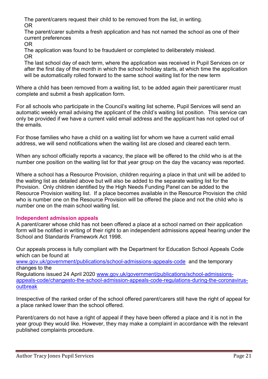The parent/carers request their child to be removed from the list, in writing. OR

The parent/carer submits a fresh application and has not named the school as one of their current preferences

OR

The application was found to be fraudulent or completed to deliberately mislead. OR

The last school day of each term, where the application was received in Pupil Services on or after the first day of the month in which the school holiday starts, at which time the application will be automatically rolled forward to the same school waiting list for the new term

Where a child has been removed from a waiting list, to be added again their parent/carer must complete and submit a fresh application form.

For all schools who participate in the Council's waiting list scheme, Pupil Services will send an automatic weekly email advising the applicant of the child's waiting list position. This service can only be provided if we have a current valid email address and the applicant has not opted out of the emails.

For those families who have a child on a waiting list for whom we have a current valid email address, we will send notifications when the waiting list are closed and cleared each term.

When any school officially reports a vacancy, the place will be offered to the child who is at the number one position on the waiting list for that year group on the day the vacancy was reported.

Where a school has a Resource Provision, children requiring a place in that unit will be added to the waiting list as detailed above but will also be added to the separate waiting list for the Provision. Only children identified by the High Needs Funding Panel can be added to the Resource Provision waiting list. If a place becomes available in the Resource Provision the child who is number one on the Resource Provision will be offered the place and not the child who is number one on the main school waiting list.

# Independent admission appeals

A parent/carer whose child has not been offered a place at a school named on their application form will be notified in writing of their right to an independent admissions appeal hearing under the School and Standards Framework Act 1998.

Our appeals process is fully compliant with the Department for Education School Appeals Code which can be found at

www.gov.uk/government/publications/school-admissions-appeals-code and the temporary changes to the

Regulations issued 24 April 2020 www.gov.uk/government/publications/school-admissionsappeals-code/changesto-the-school-admission-appeals-code-regulations-during-the-coronavirusoutbreak

Irrespective of the ranked order of the school offered parent/carers still have the right of appeal for a place ranked lower than the school offered.

Parent/carers do not have a right of appeal if they have been offered a place and it is not in the year group they would like. However, they may make a complaint in accordance with the relevant published complaints procedure.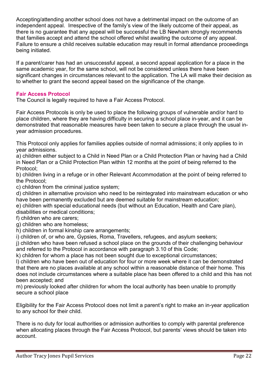Accepting/attending another school does not have a detrimental impact on the outcome of an independent appeal. Irrespective of the family's view of the likely outcome of their appeal, as there is no guarantee that any appeal will be successful the LB Newham strongly recommends that families accept and attend the school offered whilst awaiting the outcome of any appeal. Failure to ensure a child receives suitable education may result in formal attendance proceedings being initiated.

If a parent/carer has had an unsuccessful appeal, a second appeal application for a place in the same academic year, for the same school, will not be considered unless there have been significant changes in circumstances relevant to the application. The LA will make their decision as to whether to grant the second appeal based on the significance of the change.

# Fair Access Protocol

The Council is legally required to have a Fair Access Protocol.

Fair Access Protocols is only be used to place the following groups of vulnerable and/or hard to place children, where they are having difficulty in securing a school place in-year, and it can be demonstrated that reasonable measures have been taken to secure a place through the usual inyear admission procedures.

This Protocol only applies for families applies outside of normal admissions; it only applies to in year admissions.

a) children either subject to a Child in Need Plan or a Child Protection Plan or having had a Child in Need Plan or a Child Protection Plan within 12 months at the point of being referred to the Protocol;

b) children living in a refuge or in other Relevant Accommodation at the point of being referred to the Protocol;

c) children from the criminal justice system;

d) children in alternative provision who need to be reintegrated into mainstream education or who have been permanently excluded but are deemed suitable for mainstream education;

e) children with special educational needs (but without an Education, Health and Care plan), disabilities or medical conditions;

f) children who are carers;

g) children who are homeless;

h) children in formal kinship care arrangements;

i) children of, or who are, Gypsies, Roma, Travellers, refugees, and asylum seekers;

j) children who have been refused a school place on the grounds of their challenging behaviour and referred to the Protocol in accordance with paragraph 3.10 of this Code;

k) children for whom a place has not been sought due to exceptional circumstances;

l) children who have been out of education for four or more week where it can be demonstrated that there are no places available at any school within a reasonable distance of their home. This does not include circumstances where a suitable place has been offered to a child and this has not been accepted; and

m) previously looked after children for whom the local authority has been unable to promptly secure a school place

Eligibility for the Fair Access Protocol does not limit a parent's right to make an in-year application to any school for their child.

There is no duty for local authorities or admission authorities to comply with parental preference when allocating places through the Fair Access Protocol, but parents' views should be taken into account.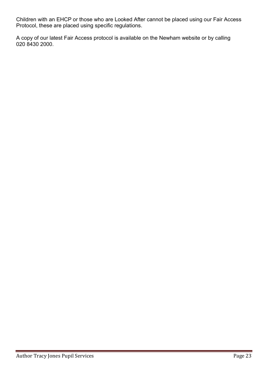Children with an EHCP or those who are Looked After cannot be placed using our Fair Access Protocol, these are placed using specific regulations.

A copy of our latest Fair Access protocol is available on the Newham website or by calling 020 8430 2000.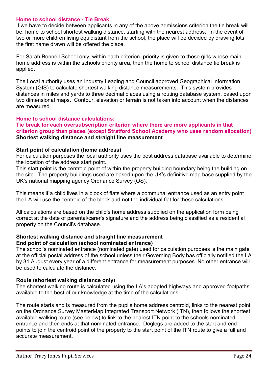#### Home to school distance - Tie Break

If we have to decide between applicants in any of the above admissions criterion the tie break will be: home to school shortest walking distance, starting with the nearest address. In the event of two or more children living equidistant from the school, the place will be decided by drawing lots, the first name drawn will be offered the place.

For Sarah Bonnell School only, within each criterion, priority is given to those girls whose main home address is within the schools priority area, then the home to school distance tie break is applied.

The Local authority uses an Industry Leading and Council approved Geographical Information System (GIS) to calculate shortest walking distance measurements. This system provides distances in miles and yards to three decimal places using a routing database system, based upon two dimensional maps. Contour, elevation or terrain is not taken into account when the distances are measured.

#### Home to school distance calculations:

### Tie break for each oversubscription criterion where there are more applicants in that criterion group than places (except Stratford School Academy who uses random allocation) Shortest walking distance and straight line measurement

#### Start point of calculation (home address)

For calculation purposes the local authority uses the best address database available to determine the location of the address start point.

This start point is the centroid point of within the property building boundary being the building on the site. The property buildings used are based upon the UK's definitive map base supplied by the UK's national mapping agency Ordnance Survey (OS).

This means if a child lives in a block of flats where a communal entrance used as an entry point the LA will use the centroid of the block and not the individual flat for these calculations.

All calculations are based on the child's home address supplied on the application form being correct at the date of parental/carer's signature and the address being classified as a residential property on the Council's database.

#### Shortest walking distance and straight line measurement End point of calculation (school nominated entrance)

The school's nominated entrance (nominated gate) used for calculation purposes is the main gate at the official postal address of the school unless their Governing Body has officially notified the LA by 31 August every year of a different entrance for measurement purposes. No other entrance will be used to calculate the distance.

## Route (shortest walking distance only)

The shortest walking route is calculated using the LA's adopted highways and approved footpaths available to the best of our knowledge at the time of the calculations.

The route starts and is measured from the pupils home address centroid, links to the nearest point on the Ordnance Survey MasterMap Integrated Transport Network (ITN), then follows the shortest available walking route (see below) to link to the nearest ITN point to the schools nominated entrance and then ends at that nominated entrance. Doglegs are added to the start and end points to join the centroid point of the property to the start point of the ITN route to give a full and accurate measurement.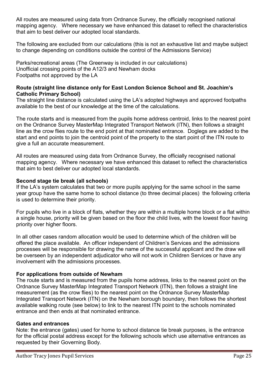All routes are measured using data from Ordnance Survey, the officially recognised national mapping agency. Where necessary we have enhanced this dataset to reflect the characteristics that aim to best deliver our adopted local standards.

The following are excluded from our calculations (this is not an exhaustive list and maybe subject to change depending on conditions outside the control of the Admissions Service)

Parks/recreational areas (The Greenway is included in our calculations) Unofficial crossing points of the A12/3 and Newham docks Footpaths not approved by the LA

# Route (straight line distance only for East London Science School and St. Joachim's Catholic Primary School)

The straight line distance is calculated using the LA's adopted highways and approved footpaths available to the best of our knowledge at the time of the calculations.

The route starts and is measured from the pupils home address centroid, links to the nearest point on the Ordnance Survey MasterMap Integrated Transport Network (ITN), then follows a straight line as the crow flies route to the end point at that nominated entrance. Doglegs are added to the start and end points to join the centroid point of the property to the start point of the ITN route to give a full an accurate measurement.

All routes are measured using data from Ordnance Survey, the officially recognised national mapping agency. Where necessary we have enhanced this dataset to reflect the characteristics that aim to best deliver our adopted local standards.

# Second stage tie break (all schools)

If the LA's system calculates that two or more pupils applying for the same school in the same year group have the same home to school distance (to three decimal places) the following criteria is used to determine their priority.

For pupils who live in a block of flats, whether they are within a multiple home block or a flat within a single house, priority will be given based on the floor the child lives, with the lowest floor having priority over higher floors.

In all other cases random allocation would be used to determine which of the children will be offered the place available. An officer independent of Children's Services and the admissions processes will be responsible for drawing the name of the successful applicant and the draw will be overseen by an independent adjudicator who will not work in Children Services or have any involvement with the admissions processes.

## For applications from outside of Newham

The route starts and is measured from the pupils home address, links to the nearest point on the Ordnance Survey MasterMap Integrated Transport Network (ITN), then follows a straight line measurement (as the crow flies) to the nearest point on the Ordnance Survey MasterMap Integrated Transport Network (ITN) on the Newham borough boundary, then follows the shortest available walking route (see below) to link to the nearest ITN point to the schools nominated entrance and then ends at that nominated entrance.

## Gates and entrances

Note: the entrance (gates) used for home to school distance tie break purposes, is the entrance for the official postal address except for the following schools which use alternative entrances as requested by their Governing Body.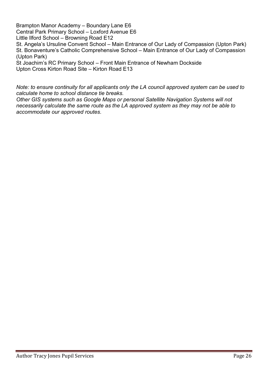Brampton Manor Academy – Boundary Lane E6 Central Park Primary School – Loxford Avenue E6 Little Ilford School – Browning Road E12

St. Angela's Ursuline Convent School – Main Entrance of Our Lady of Compassion (Upton Park) St. Bonaventure's Catholic Comprehensive School – Main Entrance of Our Lady of Compassion (Upton Park)

St Joachim's RC Primary School – Front Main Entrance of Newham Dockside Upton Cross Kirton Road Site – Kirton Road E13

Note: to ensure continuity for all applicants only the LA council approved system can be used to calculate home to school distance tie breaks.

Other GIS systems such as Google Maps or personal Satellite Navigation Systems will not necessarily calculate the same route as the LA approved system as they may not be able to accommodate our approved routes.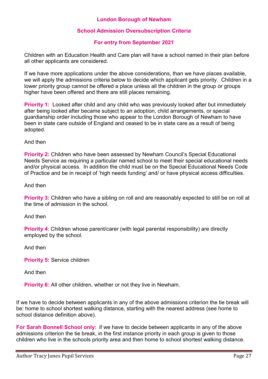# London Borough of Newham

# School Admission Oversubscription Criteria

# For entry from September 2021

Children with an Education Health and Care plan will have a school named in their plan before all other applicants are considered.

If we have more applications under the above considerations, than we have places available, we will apply the admissions criteria below to decide which applicant gets priority. Children in a lower priority group cannot be offered a place unless all the children in the group or groups higher have been offered and there are still places remaining.

**Priority 1:** Looked after child and any child who was previously looked after but immediately after being looked after became subject to an adoption, child arrangements, or special guardianship order including those who appear to the London Borough of Newham to have been in state care outside of England and ceased to be in state care as a result of being adopted.

And then

**Priority 2:** Children who have been assessed by Newham Council's Special Educational Needs Service as requiring a particular named school to meet their special educational needs and/or physical access. In addition the child must be on the Special Educational Needs Code of Practice and be in receipt of 'high needs funding' and/ or have physical access difficulties.

And then

**Priority 3:** Children who have a sibling on roll and are reasonably expected to still be on roll at the time of admission in the school.

And then

**Priority 4:** Children whose parent/carer (with legal parental responsibility) are directly employed by the school.

And then

Priority 5: Service children

And then

**Priority 6:** All other children, whether or not they live in Newham.

If we have to decide between applicants in any of the above admissions criterion the tie break will be: home to school shortest walking distance, starting with the nearest address (see home to school distance definition above).

For Sarah Bonnell School only: if we have to decide between applicants in any of the above admissions criterion the tie break, in the first instance priority in each group is given to those children who live in the schools priority area and then home to school shortest walking distance.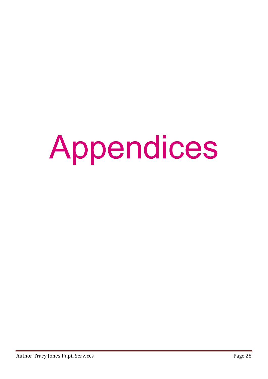# Appendices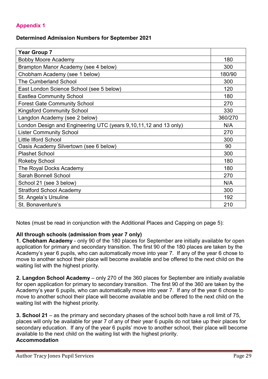# Appendix 1

# Determined Admission Numbers for September 2021

| <b>Year Group 7</b>                                              |         |
|------------------------------------------------------------------|---------|
| <b>Bobby Moore Academy</b>                                       | 180     |
| Brampton Manor Academy (see 4 below)                             | 300     |
| Chobham Academy (see 1 below)                                    | 180/90  |
| <b>The Cumberland School</b>                                     | 300     |
| East London Science School (see 5 below)                         | 120     |
| <b>Eastlea Community School</b>                                  | 180     |
| <b>Forest Gate Community School</b>                              | 270     |
| <b>Kingsford Community School</b>                                | 330     |
| Langdon Academy (see 2 below)                                    | 360/270 |
| London Design and Engineering UTC (years 9,10,11,12 and 13 only) | N/A     |
| <b>Lister Community School</b>                                   | 270     |
| <b>Little Ilford School</b>                                      | 300     |
| Oasis Academy Silvertown (see 6 below)                           | 90      |
| <b>Plashet School</b>                                            | 300     |
| <b>Rokeby School</b>                                             | 180     |
| The Royal Docks Academy                                          | 180     |
| <b>Sarah Bonnell School</b>                                      | 270     |
| School 21 (see 3 below)                                          | N/A     |
| <b>Stratford School Academy</b>                                  | 300     |
| St. Angela's Ursuline                                            | 192     |
| St. Bonaventure's                                                | 210     |

Notes (must be read in conjunction with the Additional Places and Capping on page 5):

# All through schools (admission from year 7 only)

1. Chobham Academy - only 90 of the 180 places for September are initially available for open application for primary and secondary transition. The first 90 of the 180 places are taken by the Academy's year 6 pupils, who can automatically move into year 7. If any of the year 6 chose to move to another school their place will become available and be offered to the next child on the waiting list with the highest priority.

2. Langdon School Academy – only 270 of the 360 places for September are initially available for open application for primary to secondary transition. The first 90 of the 360 are taken by the Academy's year 6 pupils, who can automatically move into year 7. If any of the year 6 chose to move to another school their place will become available and be offered to the next child on the waiting list with the highest priority.

3. School 21 – as the primary and secondary phases of the school both have a roll limit of 75, places will only be available for year 7 of any of their year 6 pupils do not take up their places for secondary education. If any of the year 6 pupils' move to another school, their place will become available to the next child on the waiting list with the highest priority. Accommodation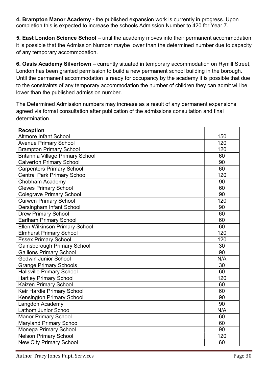4. Brampton Manor Academy - the published expansion work is currently in progress. Upon completion this is expected to increase the schools Admission Number to 420 for Year 7.

5. East London Science School – until the academy moves into their permanent accommodation it is possible that the Admission Number maybe lower than the determined number due to capacity of any temporary accommodation.

6. Oasis Academy Silvertown – currently situated in temporary accommodation on Rymill Street, London has been granted permission to build a new permanent school building in the borough. Until the permanent accommodation is ready for occupancy by the academy it is possible that due to the constraints of any temporary accommodation the number of children they can admit will be lower than the published admission number.

The Determined Admission numbers may increase as a result of any permanent expansions agreed via formal consultation after publication of the admissions consultation and final determination.

| <b>Reception</b>                        |     |
|-----------------------------------------|-----|
| <b>Altmore Infant School</b>            | 150 |
| <b>Avenue Primary School</b>            | 120 |
| <b>Brampton Primary School</b>          | 120 |
| <b>Britannia Village Primary School</b> | 60  |
| <b>Calverton Primary School</b>         | 90  |
| <b>Carpenters Primary School</b>        | 60  |
| <b>Central Park Primary School</b>      | 120 |
| Chobham Academy                         | 90  |
| <b>Cleves Primary School</b>            | 60  |
| <b>Colegrave Primary School</b>         | 90  |
| <b>Curwen Primary School</b>            | 120 |
| Dersingham Infant School                | 90  |
| <b>Drew Primary School</b>              | 60  |
| Earlham Primary School                  | 60  |
| <b>Ellen Wilkinson Primary School</b>   | 60  |
| <b>Elmhurst Primary School</b>          | 120 |
| <b>Essex Primary School</b>             | 120 |
| <b>Gainsborough Primary School</b>      | 30  |
| <b>Gallions Primary School</b>          | 90  |
| <b>Godwin Junior School</b>             | N/A |
| <b>Grange Primary Schools</b>           | 30  |
| <b>Hallsville Primary School</b>        | 60  |
| <b>Hartley Primary School</b>           | 120 |
| Kaizen Primary School                   | 60  |
| Keir Hardie Primary School              | 60  |
| <b>Kensington Primary School</b>        | 90  |
| Langdon Academy                         | 90  |
| <b>Lathom Junior School</b>             | N/A |
| <b>Manor Primary School</b>             | 60  |
| <b>Maryland Primary School</b>          | 60  |
| Monega Primary School                   | 90  |
| <b>Nelson Primary School</b>            | 120 |
| <b>New City Primary School</b>          | 60  |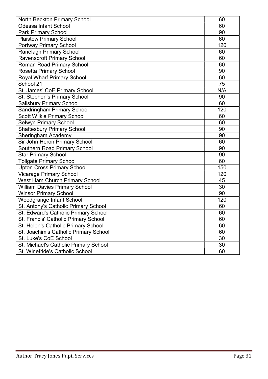| North Beckton Primary School           | 60  |
|----------------------------------------|-----|
| <b>Odessa Infant School</b>            | 60  |
| <b>Park Primary School</b>             | 90  |
| <b>Plaistow Primary School</b>         | 60  |
| <b>Portway Primary School</b>          | 120 |
| <b>Ranelagh Primary School</b>         | 60  |
| <b>Ravenscroft Primary School</b>      | 60  |
| <b>Roman Road Primary School</b>       | 60  |
| <b>Rosetta Primary School</b>          | 90  |
| <b>Royal Wharf Primary School</b>      | 60  |
| School 21                              | 75  |
| St. James' CoE Primary School          | N/A |
| St. Stephen's Primary School           | 90  |
| <b>Salisbury Primary School</b>        | 60  |
| <b>Sandringham Primary School</b>      | 120 |
| <b>Scott Wilkie Primary School</b>     | 60  |
| <b>Selwyn Primary School</b>           | 60  |
| <b>Shaftesbury Primary School</b>      | 90  |
| Sheringham Academy                     | 90  |
| Sir John Heron Primary School          | 60  |
| Southern Road Primary School           | 90  |
| <b>Star Primary School</b>             | 90  |
| <b>Tollgate Primary School</b>         | 60  |
| <b>Upton Cross Primary School</b>      | 150 |
| <b>Vicarage Primary School</b>         | 120 |
| <b>West Ham Church Primary School</b>  | 45  |
| <b>William Davies Primary School</b>   | 30  |
| <b>Winsor Primary School</b>           | 90  |
| <b>Woodgrange Infant School</b>        | 120 |
| St. Antony's Catholic Primary School   | 60  |
| St. Edward's Catholic Primary School   | 60  |
| St. Francis' Catholic Primary School   | 60  |
| St. Helen's Catholic Primary School    | 60  |
| St. Joachim's Catholic Primary School  | 60  |
| St. Luke's CoE School                  | 30  |
| St. Michael's Catholic Primary School  | 30  |
| <b>St. Winefride's Catholic School</b> | 60  |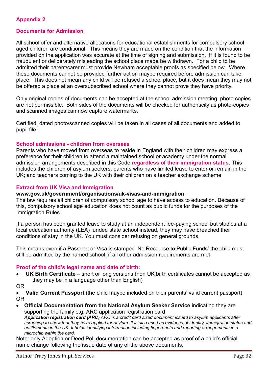# Appendix 2

## Documents for Admission

All school offer and alternative allocations for educational establishments for compulsory school aged children are conditional. This means they are made on the condition that the information provided on the application was accurate at the time of signing and submission. If it is found to be fraudulent or deliberately misleading the school place made be withdrawn. For a child to be admitted their parent/carer must provide Newham acceptable proofs as specified below. Where these documents cannot be provided further action maybe required before admission can take place. This does not mean any child will be refused a school place, but it does mean they may not be offered a place at an oversubscribed school where they cannot prove they have priority.

Only original copies of documents can be accepted at the school admission meeting, photo copies are not permissible. Both sides of the documents will be checked for authenticity as photo-copies and scanned images can now capture watermarks.

Certified, dated photo/scanned copies will be taken in all cases of all documents and added to pupil file.

#### School admissions - children from overseas

Parents who have moved from overseas to reside in England with their children may express a preference for their children to attend a maintained school or academy under the normal admission arrangements described in this Code regardless of their immigration status. This includes the children of asylum seekers; parents who have limited leave to enter or remain in the UK; and teachers coming to the UK with their children on a teacher exchange scheme.

#### Extract from UK Visa and Immigration

#### www.gov.uk/government/organisations/uk-visas-and-immigration

The law requires all children of compulsory school age to have access to education. Because of this, compulsory school age education does not count as public funds for the purposes of the Immigration Rules.

If a person has been granted leave to study at an independent fee-paying school but studies at a local education authority (LEA) funded state school instead, they may have breached their conditions of stay in the UK. You must consider refusing on general grounds.

This means even if a Passport or Visa is stamped 'No Recourse to Public Funds' the child must still be admitted by the named school, if all other admission requirements are met.

#### Proof of the child's legal name and date of birth:

• UK Birth Certificate – short or long versions (non UK birth certificates cannot be accepted as they may be in a language other than English)

OR

 Valid Current Passport (the child maybe included on their parents' valid current passport) OR

 Official Documentation from the National Asylum Seeker Service indicating they are supporting the family e.g. ARC application registration card Application registration card (ARC) ARC is a credit card sized document issued to asylum applicants after screening to show that they have applied for asylum. It is also used as evidence of identity, immigration status and entitlements in the UK. It holds identifying information including fingerprints and reporting arrangements in a microchip within the card.

Note: only Adoption or Deed Poll documentation can be accepted as proof of a child's official name change following the issue date of any of the above documents.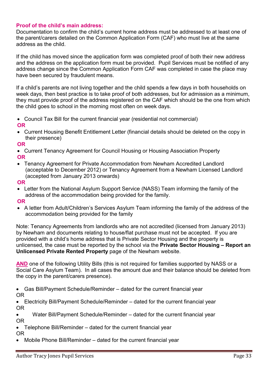# Proof of the child's main address:

Documentation to confirm the child's current home address must be addressed to at least one of the parent/carers detailed on the Common Application Form (CAF) who must live at the same address as the child.

If the child has moved since the application form was completed proof of both their new address and the address on the application form must be provided. Pupil Services must be notified of any address change since the Common Application Form CAF was completed in case the place may have been secured by fraudulent means.

If a child's parents are not living together and the child spends a few days in both households on week days, then best practice is to take proof of both addresses, but for admission as a minimum, they must provide proof of the address registered on the CAF which should be the one from which the child goes to school in the morning most often on week days.

 Council Tax Bill for the current financial year (residential not commercial) OR

 Current Housing Benefit Entitlement Letter (financial details should be deleted on the copy in their presence)

OR

- Current Tenancy Agreement for Council Housing or Housing Association Property OR
- Tenancy Agreement for Private Accommodation from Newham Accredited Landlord (acceptable to December 2012) or Tenancy Agreement from a Newham Licensed Landlord (accepted from January 2013 onwards)

OR

 Letter from the National Asylum Support Service (NASS) Team informing the family of the address of the accommodation being provided for the family.

OR

 A letter from Adult/Children's Services Asylum Team informing the family of the address of the accommodation being provided for the family

Note: Tenancy Agreements from landlords who are not accredited (licensed from January 2013) by Newham and documents relating to house/flat purchase must not be accepted. If you are provided with a child's home address that is Private Sector Housing and the property is unlicensed, the case must be reported by the school via the Private Sector Housing – Report an Unlicensed Private Rented Property page of the Newham website.

AND one of the following Utility Bills (this is not required for families supported by NASS or a Social Care Asylum Team). In all cases the amount due and their balance should be deleted from the copy in the parent/carers presence).

 Gas Bill/Payment Schedule/Reminder – dated for the current financial year OR

 Electricity Bill/Payment Schedule/Reminder – dated for the current financial year OR

Water Bill/Payment Schedule/Reminder – dated for the current financial year

OR

Telephone Bill/Reminder – dated for the current financial year

OR

Mobile Phone Bill/Reminder – dated for the current financial year